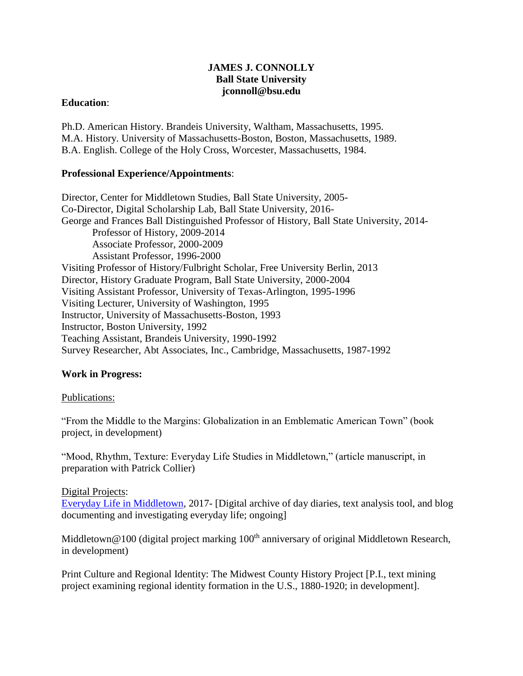# **JAMES J. CONNOLLY Ball State University jconnoll@bsu.edu**

### **Education**:

Ph.D. American History. Brandeis University, Waltham, Massachusetts, 1995. M.A. History. University of Massachusetts-Boston, Boston, Massachusetts, 1989. B.A. English. College of the Holy Cross, Worcester, Massachusetts, 1984.

# **Professional Experience/Appointments**:

Director, Center for Middletown Studies, Ball State University, 2005- Co-Director, Digital Scholarship Lab, Ball State University, 2016- George and Frances Ball Distinguished Professor of History, Ball State University, 2014- Professor of History, 2009-2014 Associate Professor, 2000-2009 Assistant Professor, 1996-2000 Visiting Professor of History/Fulbright Scholar, Free University Berlin, 2013 Director, History Graduate Program, Ball State University, 2000-2004 Visiting Assistant Professor, University of Texas-Arlington, 1995-1996 Visiting Lecturer, University of Washington, 1995 Instructor, University of Massachusetts-Boston, 1993 Instructor, Boston University, 1992 Teaching Assistant, Brandeis University, 1990-1992 Survey Researcher, Abt Associates, Inc., Cambridge, Massachusetts, 1987-1992

# **Work in Progress:**

# Publications:

"From the Middle to the Margins: Globalization in an Emblematic American Town" (book project, in development)

"Mood, Rhythm, Texture: Everyday Life Studies in Middletown," (article manuscript, in preparation with Patrick Collier)

# Digital Projects:

[Everyday Life in Middletown,](http://bsudsl.org/edlmiddletown/) 2017- [Digital archive of day diaries, text analysis tool, and blog documenting and investigating everyday life; ongoing]

Middletown@100 (digital project marking  $100<sup>th</sup>$  anniversary of original Middletown Research, in development)

Print Culture and Regional Identity: The Midwest County History Project [P.I., text mining project examining regional identity formation in the U.S., 1880-1920; in development].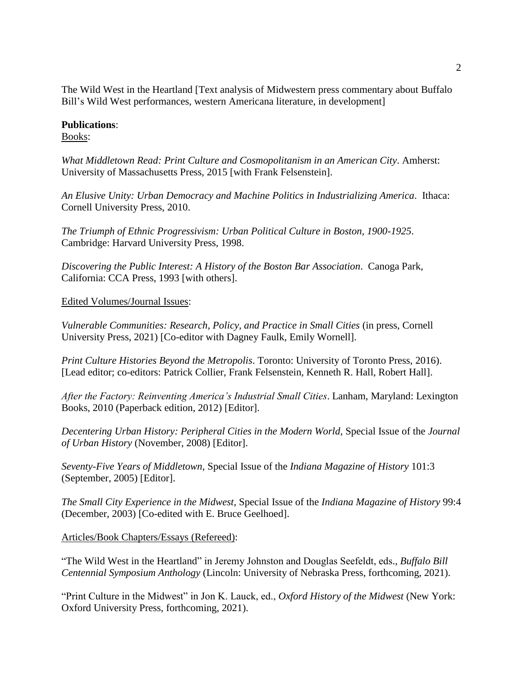The Wild West in the Heartland [Text analysis of Midwestern press commentary about Buffalo Bill's Wild West performances, western Americana literature, in development]

### **Publications**:

Books:

*What Middletown Read: Print Culture and Cosmopolitanism in an American City*. Amherst: University of Massachusetts Press, 2015 [with Frank Felsenstein].

*An Elusive Unity: Urban Democracy and Machine Politics in Industrializing America*. Ithaca: Cornell University Press, 2010.

*The Triumph of Ethnic Progressivism: Urban Political Culture in Boston, 1900-1925*. Cambridge: Harvard University Press, 1998.

*Discovering the Public Interest: A History of the Boston Bar Association*. Canoga Park, California: CCA Press, 1993 [with others].

#### Edited Volumes/Journal Issues:

*Vulnerable Communities: Research, Policy, and Practice in Small Cities* (in press, Cornell University Press, 2021) [Co-editor with Dagney Faulk, Emily Wornell].

*Print Culture Histories Beyond the Metropolis*. Toronto: University of Toronto Press, 2016). [Lead editor; co-editors: Patrick Collier, Frank Felsenstein, Kenneth R. Hall, Robert Hall].

*After the Factory: Reinventing America's Industrial Small Cities*. Lanham, Maryland: Lexington Books, 2010 (Paperback edition, 2012) [Editor].

*Decentering Urban History: Peripheral Cities in the Modern World*, Special Issue of the *Journal of Urban History* (November, 2008) [Editor].

*Seventy-Five Years of Middletown*, Special Issue of the *Indiana Magazine of History* 101:3 (September, 2005) [Editor].

*The Small City Experience in the Midwest*, Special Issue of the *Indiana Magazine of History* 99:4 (December, 2003) [Co-edited with E. Bruce Geelhoed].

Articles/Book Chapters/Essays (Refereed):

"The Wild West in the Heartland" in Jeremy Johnston and Douglas Seefeldt, eds., *Buffalo Bill Centennial Symposium Anthology* (Lincoln: University of Nebraska Press, forthcoming, 2021).

"Print Culture in the Midwest" in Jon K. Lauck, ed., *Oxford History of the Midwest* (New York: Oxford University Press, forthcoming, 2021).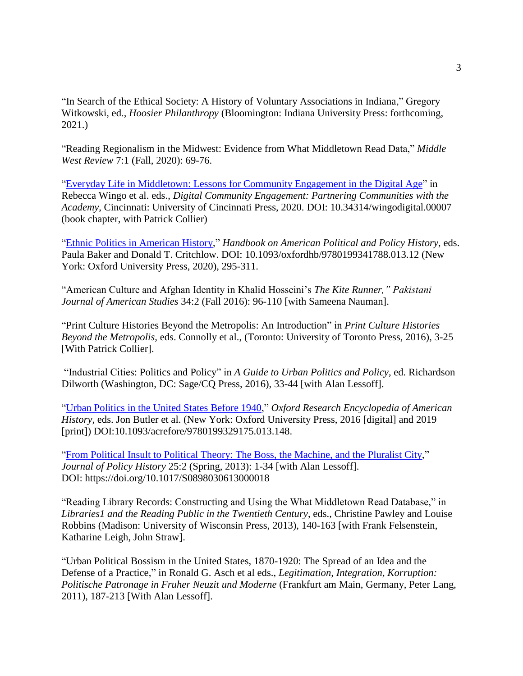"In Search of the Ethical Society: A History of Voluntary Associations in Indiana," Gregory Witkowski, ed., *Hoosier Philanthropy* (Bloomington: Indiana University Press: forthcoming, 2021.)

"Reading Regionalism in the Midwest: Evidence from What Middletown Read Data," *Middle West Review* 7:1 (Fall, 2020): 69-76.

["Everyday Life in Middletown: Lessons for Community Engagement in the Digital Age"](https://ucincinnatipress.manifoldapp.org/read/digital-community-engagement/section/d9b3753f-ee21-43bf-a573-ab011b86a015) in Rebecca Wingo et al. eds., *Digital Community Engagement: Partnering Communities with the Academy*, Cincinnati: University of Cincinnati Press, 2020. DOI: 10.34314/wingodigital.00007 (book chapter, with Patrick Collier)

"Ethnic Politics [in American History,](https://www.oxfordhandbooks.com/view/10.1093/oxfordhb/9780199341788.001.0001/oxfordhb-9780199341788-e-12)" *Handbook on American Political and Policy History*, eds. Paula Baker and Donald T. Critchlow. DOI: 10.1093/oxfordhb/9780199341788.013.12 (New York: Oxford University Press, 2020), 295-311.

"American Culture and Afghan Identity in Khalid Hosseini's *The Kite Runner," Pakistani Journal of American Studies* 34:2 (Fall 2016): 96-110 [with Sameena Nauman].

"Print Culture Histories Beyond the Metropolis: An Introduction" in *Print Culture Histories Beyond the Metropolis,* eds. Connolly et al., (Toronto: University of Toronto Press, 2016), 3-25 [With Patrick Collier].

"Industrial Cities: Politics and Policy" in *A Guide to Urban Politics and Policy*, ed. Richardson Dilworth (Washington, DC: Sage/CQ Press, 2016), 33-44 [with Alan Lessoff].

["Urban Politics in the United States Before 1940,](https://oxfordre.com/americanhistory/view/10.1093/acrefore/9780199329175.001.0001/acrefore-9780199329175-e-148?rskey=AyI50U&result=1)" *Oxford Research Encyclopedia of American History*, eds. Jon Butler et al. (New York: Oxford University Press, 2016 [digital] and 2019 [print]) DOI:10.1093/acrefore/9780199329175.013.148.

["From Political Insult to Political Theory: The Boss, the Machine,](https://www.cambridge.org/core/journals/journal-of-policy-history/article/from-political-insult-to-political-theory-the-boss-the-machine-and-the-pluralist-city/31000C193A508191A9F36A939A649B3C) and the Pluralist City," *Journal of Policy History* 25:2 (Spring, 2013): 1-34 [with Alan Lessoff]. DOI: https://doi.org/10.1017/S0898030613000018

"Reading Library Records: Constructing and Using the What Middletown Read Database," in *Libraries1 and the Reading Public in the Twentieth Century*, eds., Christine Pawley and Louise Robbins (Madison: University of Wisconsin Press, 2013), 140-163 [with Frank Felsenstein, Katharine Leigh, John Straw].

"Urban Political Bossism in the United States, 1870-1920: The Spread of an Idea and the Defense of a Practice," in Ronald G. Asch et al eds., *Legitimation, Integration, Korruption: Politische Patronage in Fruher Neuzit und Moderne* (Frankfurt am Main, Germany, Peter Lang, 2011), 187-213 [With Alan Lessoff].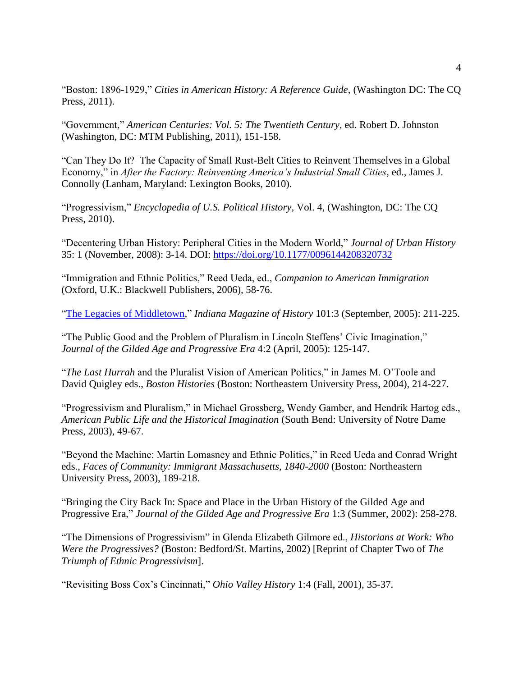"Boston: 1896-1929," *Cities in American History: A Reference Guide*, (Washington DC: The CQ Press, 2011).

"Government," *American Centuries: Vol. 5: The Twentieth Century,* ed. Robert D. Johnston (Washington, DC: MTM Publishing, 2011), 151-158.

"Can They Do It? The Capacity of Small Rust-Belt Cities to Reinvent Themselves in a Global Economy," in *After the Factory: Reinventing America's Industrial Small Cities*, ed., James J. Connolly (Lanham, Maryland: Lexington Books, 2010).

"Progressivism," *Encyclopedia of U.S. Political History*, Vol. 4, (Washington, DC: The CQ Press, 2010).

"Decentering Urban History: Peripheral Cities in the Modern World," *Journal of Urban History* 35: 1 (November, 2008): 3-14. DOI: [https://doi.org/10.1177/0096144208320732](https://doi.org/10.1177%2F0096144208320732)

"Immigration and Ethnic Politics," Reed Ueda, ed., *Companion to American Immigration* (Oxford, U.K.: Blackwell Publishers, 2006), 58-76.

["The Legacies of Middletown,](https://www.jstor.org/stable/27792639)" *Indiana Magazine of History* 101:3 (September, 2005): 211-225.

"The Public Good and the Problem of Pluralism in Lincoln Steffens' Civic Imagination," *Journal of the Gilded Age and Progressive Era* 4:2 (April, 2005): 125-147.

"*The Last Hurrah* and the Pluralist Vision of American Politics," in James M. O'Toole and David Quigley eds., *Boston Histories* (Boston: Northeastern University Press, 2004), 214-227.

"Progressivism and Pluralism," in Michael Grossberg, Wendy Gamber, and Hendrik Hartog eds., *American Public Life and the Historical Imagination* (South Bend: University of Notre Dame Press, 2003), 49-67.

"Beyond the Machine: Martin Lomasney and Ethnic Politics," in Reed Ueda and Conrad Wright eds., *Faces of Community: Immigrant Massachusetts, 1840-2000* (Boston: Northeastern University Press, 2003), 189-218.

"Bringing the City Back In: Space and Place in the Urban History of the Gilded Age and Progressive Era," *Journal of the Gilded Age and Progressive Era* 1:3 (Summer, 2002): 258-278.

"The Dimensions of Progressivism" in Glenda Elizabeth Gilmore ed., *Historians at Work: Who Were the Progressives?* (Boston: Bedford/St. Martins, 2002) [Reprint of Chapter Two of *The Triumph of Ethnic Progressivism*].

"Revisiting Boss Cox's Cincinnati," *Ohio Valley History* 1:4 (Fall, 2001), 35-37.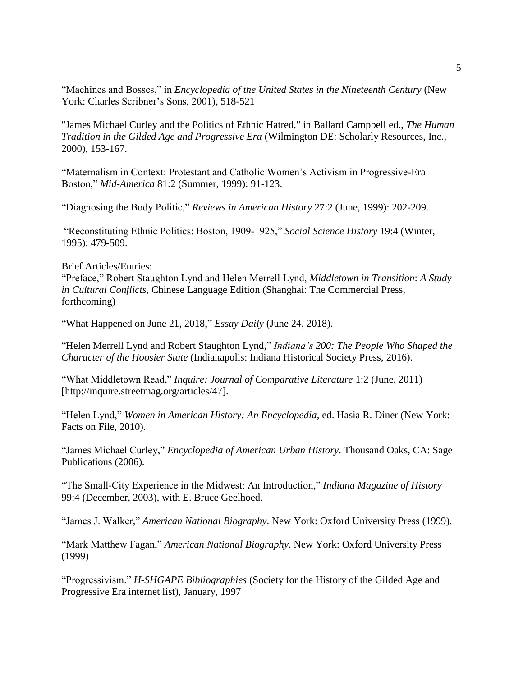"Machines and Bosses," in *Encyclopedia of the United States in the Nineteenth Century* (New York: Charles Scribner's Sons, 2001), 518-521

"James Michael Curley and the Politics of Ethnic Hatred," in Ballard Campbell ed., *The Human Tradition in the Gilded Age and Progressive Era* (Wilmington DE: Scholarly Resources, Inc., 2000), 153-167.

"Maternalism in Context: Protestant and Catholic Women's Activism in Progressive-Era Boston," *Mid-America* 81:2 (Summer, 1999): 91-123.

"Diagnosing the Body Politic," *Reviews in American History* 27:2 (June, 1999): 202-209.

"Reconstituting Ethnic Politics: Boston, 1909-1925," *Social Science History* 19:4 (Winter, 1995): 479-509.

#### Brief Articles/Entries:

"Preface," Robert Staughton Lynd and Helen Merrell Lynd, *Middletown in Transition*: *A Study in Cultural Conflicts*, Chinese Language Edition (Shanghai: The Commercial Press, forthcoming)

"What Happened on June 21, 2018," *Essay Daily* (June 24, 2018).

"Helen Merrell Lynd and Robert Staughton Lynd," *Indiana's 200: The People Who Shaped the Character of the Hoosier State* (Indianapolis: Indiana Historical Society Press, 2016).

"What Middletown Read," *Inquire: Journal of Comparative Literature* 1:2 (June, 2011) [http://inquire.streetmag.org/articles/47].

"Helen Lynd," *Women in American History: An Encyclopedia*, ed. Hasia R. Diner (New York: Facts on File, 2010).

"James Michael Curley," *Encyclopedia of American Urban History*. Thousand Oaks, CA: Sage Publications (2006).

"The Small-City Experience in the Midwest: An Introduction," *Indiana Magazine of History* 99:4 (December, 2003), with E. Bruce Geelhoed.

"James J. Walker," *American National Biography*. New York: Oxford University Press (1999).

"Mark Matthew Fagan," *American National Biography*. New York: Oxford University Press (1999)

"Progressivism." *H-SHGAPE Bibliographies* (Society for the History of the Gilded Age and Progressive Era internet list), January, 1997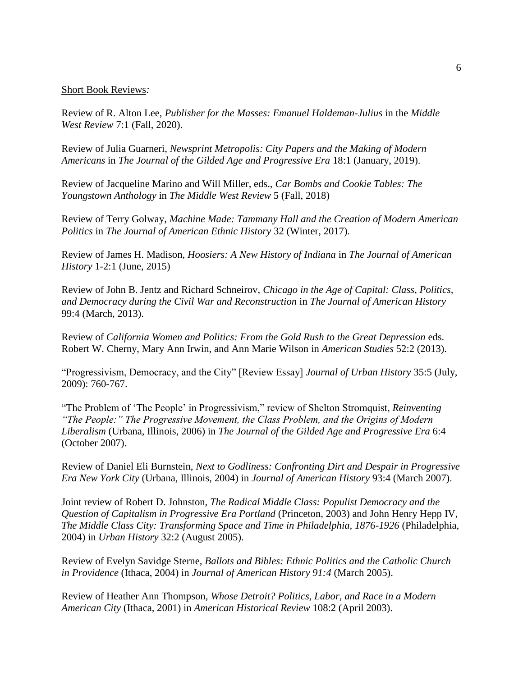#### Short Book Reviews*:*

Review of R. Alton Lee, *Publisher for the Masses: Emanuel Haldeman-Julius* in the *Middle West Review* 7:1 (Fall, 2020).

Review of Julia Guarneri, *Newsprint Metropolis: City Papers and the Making of Modern Americans* in *The Journal of the Gilded Age and Progressive Era* 18:1 (January, 2019).

Review of Jacqueline Marino and Will Miller, eds., *Car Bombs and Cookie Tables: The Youngstown Anthology* in *The Middle West Review* 5 (Fall, 2018)

Review of Terry Golway, *Machine Made: Tammany Hall and the Creation of Modern American Politics* in *The Journal of American Ethnic History* 32 (Winter, 2017).

Review of James H. Madison, *Hoosiers: A New History of Indiana* in *The Journal of American History* 1-2:1 (June, 2015)

Review of John B. Jentz and Richard Schneirov, *Chicago in the Age of Capital: Class, Politics, and Democracy during the Civil War and Reconstruction* in *The Journal of American History* 99:4 (March, 2013).

Review of *California Women and Politics: From the Gold Rush to the Great Depression* eds. Robert W. Cherny, Mary Ann Irwin, and Ann Marie Wilson in *American Studies* 52:2 (2013).

"Progressivism, Democracy, and the City" [Review Essay] *Journal of Urban History* 35:5 (July, 2009): 760-767.

"The Problem of 'The People' in Progressivism," review of Shelton Stromquist, *Reinventing "The People:" The Progressive Movement, the Class Problem, and the Origins of Modern Liberalism* (Urbana, Illinois, 2006) in *The Journal of the Gilded Age and Progressive Era* 6:4 (October 2007).

Review of Daniel Eli Burnstein, *Next to Godliness: Confronting Dirt and Despair in Progressive Era New York City* (Urbana, Illinois, 2004) in *Journal of American History* 93:4 (March 2007).

Joint review of Robert D. Johnston, *The Radical Middle Class: Populist Democracy and the Question of Capitalism in Progressive Era Portland* (Princeton, 2003) and John Henry Hepp IV, *The Middle Class City: Transforming Space and Time in Philadelphia, 1876-1926* (Philadelphia, 2004) in *Urban History* 32:2 (August 2005).

Review of Evelyn Savidge Sterne, *Ballots and Bibles: Ethnic Politics and the Catholic Church in Providence* (Ithaca, 2004) in *Journal of American History 91:4* (March 2005).

Review of Heather Ann Thompson, *Whose Detroit? Politics, Labor, and Race in a Modern American City* (Ithaca, 2001) in *American Historical Review* 108:2 (April 2003).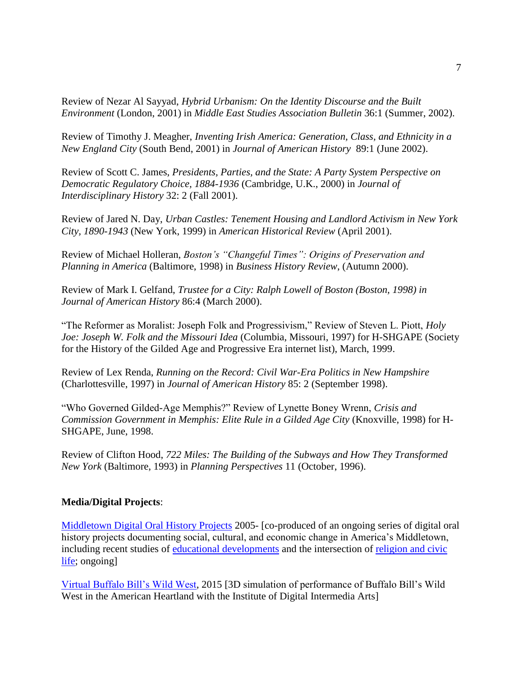Review of Nezar Al Sayyad, *Hybrid Urbanism: On the Identity Discourse and the Built Environment* (London, 2001) in *Middle East Studies Association Bulletin* 36:1 (Summer, 2002).

Review of Timothy J. Meagher, *Inventing Irish America: Generation, Class, and Ethnicity in a New England City* (South Bend, 2001) in *Journal of American History* 89:1 (June 2002).

Review of Scott C. James, *Presidents, Parties, and the State: A Party System Perspective on Democratic Regulatory Choice, 1884-1936* (Cambridge, U.K., 2000) in *Journal of Interdisciplinary History* 32: 2 (Fall 2001).

Review of Jared N. Day, *Urban Castles: Tenement Housing and Landlord Activism in New York City, 1890-1943* (New York, 1999) in *American Historical Review* (April 2001).

Review of Michael Holleran, *Boston's "Changeful Times": Origins of Preservation and Planning in America* (Baltimore, 1998) in *Business History Review*, (Autumn 2000).

Review of Mark I. Gelfand, *Trustee for a City: Ralph Lowell of Boston (Boston, 1998) in Journal of American History* 86:4 (March 2000).

"The Reformer as Moralist: Joseph Folk and Progressivism," Review of Steven L. Piott, *Holy Joe: Joseph W. Folk and the Missouri Idea* (Columbia, Missouri, 1997) for H-SHGAPE (Society for the History of the Gilded Age and Progressive Era internet list), March, 1999.

Review of Lex Renda, *Running on the Record: Civil War-Era Politics in New Hampshire* (Charlottesville, 1997) in *Journal of American History* 85: 2 (September 1998).

"Who Governed Gilded-Age Memphis?" Review of Lynette Boney Wrenn, *Crisis and Commission Government in Memphis: Elite Rule in a Gilded Age City* (Knoxville, 1998) for H-SHGAPE, June, 1998.

Review of Clifton Hood, *722 Miles: The Building of the Subways and How They Transformed New York* (Baltimore, 1993) in *Planning Perspectives* 11 (October, 1996).

### **Media/Digital Projects**:

[Middletown Digital Oral History Projects](http://libx.bsu.edu/cdm/landingpage/collection/MidOrHis) 2005- [co-produced of an ongoing series of digital oral history projects documenting social, cultural, and economic change in America's Middletown, including recent studies of educational [developments](http://libx.bsu.edu/cdm/landingpage/collection/MncHSCnsOHP) and the intersection of religion and civic [life;](http://libx.bsu.edu/cdm/landingpage/collection/MunChCEOH) ongoing]

[Virtual Buffalo Bill's Wild West,](https://www.youtube.com/watch?v=X5CwtkJxsFs) 2015 [3D simulation of performance of Buffalo Bill's Wild West in the American Heartland with the Institute of Digital Intermedia Arts]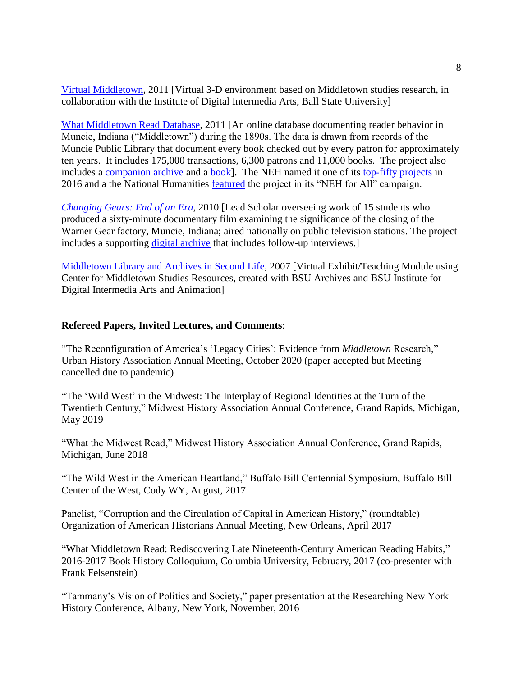[Virtual Middletown,](http://idialab.org/virtual-middletown-living-museum-in-blue-mars/) 2011 [Virtual 3-D environment based on Middletown studies research, in collaboration with the Institute of Digital Intermedia Arts, Ball State University]

[What Middletown Read Database,](http://www.bsu.edu/libraries/wmr) 2011 [An online database documenting reader behavior in Muncie, Indiana ("Middletown") during the 1890s. The data is drawn from records of the Muncie Public Library that document every book checked out by every patron for approximately ten years. It includes 175,000 transactions, 6,300 patrons and 11,000 books. The project also includes a [companion archive](http://libx.bsu.edu/cdm/landingpage/collection/WMRead) and a [book\]](http://www.umass.edu/umpress/title/what-middletown-read). The NEH named it one of its [top-fifty projects](https://50.neh.gov/projects/what-middletown-read) in 2016 and a the National Humanities [featured](https://nehforall.org/projects/researching-the-quintessential-american-town?filter=indiana) the project in its "NEH for All" campaign.

*[Changing Gears: End of an Era](https://www.youtube.com/watch?v=IjNn7Znl-s4)*, 2010 [Lead Scholar overseeing work of 15 students who produced a sixty-minute documentary film examining the significance of the closing of the Warner Gear factory, Muncie, Indiana; aired nationally on public television stations. The project includes a supporting [digital archive](http://libx.bsu.edu/cdm/landingpage/collection/ChngGrsDoc) that includes follow-up interviews.]

[Middletown Library and Archives in Second Life,](https://cms.bsu.edu/academics/centersandinstitutes/middletown/digital-intiatives/secondlife) 2007 [Virtual Exhibit/Teaching Module using Center for Middletown Studies Resources, created with BSU Archives and BSU Institute for Digital Intermedia Arts and Animation]

#### **Refereed Papers, Invited Lectures, and Comments**:

"The Reconfiguration of America's 'Legacy Cities': Evidence from *Middletown* Research," Urban History Association Annual Meeting, October 2020 (paper accepted but Meeting cancelled due to pandemic)

"The 'Wild West' in the Midwest: The Interplay of Regional Identities at the Turn of the Twentieth Century," Midwest History Association Annual Conference, Grand Rapids, Michigan, May 2019

"What the Midwest Read," Midwest History Association Annual Conference, Grand Rapids, Michigan, June 2018

"The Wild West in the American Heartland," Buffalo Bill Centennial Symposium, Buffalo Bill Center of the West, Cody WY, August, 2017

Panelist, "Corruption and the Circulation of Capital in American History," (roundtable) Organization of American Historians Annual Meeting, New Orleans, April 2017

"What Middletown Read: Rediscovering Late Nineteenth-Century American Reading Habits," 2016-2017 Book History Colloquium, Columbia University, February, 2017 (co-presenter with Frank Felsenstein)

"Tammany's Vision of Politics and Society," paper presentation at the Researching New York History Conference, Albany, New York, November, 2016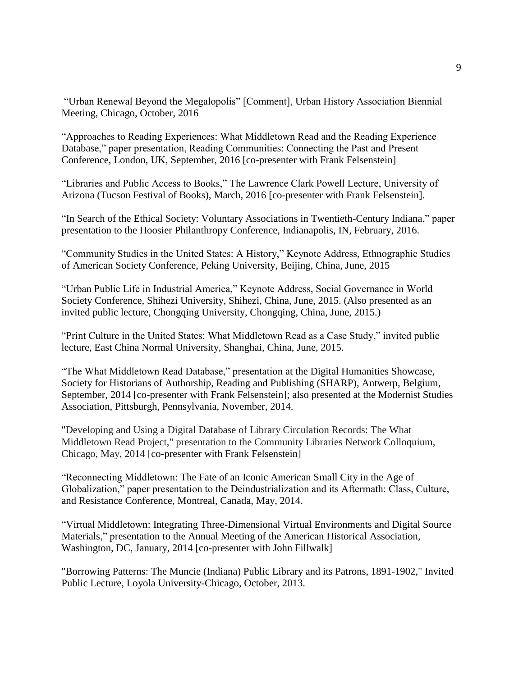"Urban Renewal Beyond the Megalopolis" [Comment], Urban History Association Biennial Meeting, Chicago, October, 2016

"Approaches to Reading Experiences: What Middletown Read and the Reading Experience Database," paper presentation, Reading Communities: Connecting the Past and Present Conference, London, UK, September, 2016 [co-presenter with Frank Felsenstein]

"Libraries and Public Access to Books," The Lawrence Clark Powell Lecture, University of Arizona (Tucson Festival of Books), March, 2016 [co-presenter with Frank Felsenstein].

"In Search of the Ethical Society: Voluntary Associations in Twentieth-Century Indiana," paper presentation to the Hoosier Philanthropy Conference, Indianapolis, IN, February, 2016.

"Community Studies in the United States: A History," Keynote Address, Ethnographic Studies of American Society Conference, Peking University, Beijing, China, June, 2015

"Urban Public Life in Industrial America," Keynote Address, Social Governance in World Society Conference, Shihezi University, Shihezi, China, June, 2015. (Also presented as an invited public lecture, Chongqing University, Chongqing, China, June, 2015.)

"Print Culture in the United States: What Middletown Read as a Case Study," invited public lecture, East China Normal University, Shanghai, China, June, 2015.

"The What Middletown Read Database," presentation at the Digital Humanities Showcase, Society for Historians of Authorship, Reading and Publishing (SHARP), Antwerp, Belgium, September, 2014 [co-presenter with Frank Felsenstein]; also presented at the Modernist Studies Association, Pittsburgh, Pennsylvania, November, 2014.

"Developing and Using a Digital Database of Library Circulation Records: The What Middletown Read Project," presentation to the Community Libraries Network Colloquium, Chicago, May, 2014 [co-presenter with Frank Felsenstein]

"Reconnecting Middletown: The Fate of an Iconic American Small City in the Age of Globalization," paper presentation to the Deindustrialization and its Aftermath: Class, Culture, and Resistance Conference, Montreal, Canada, May, 2014.

"Virtual Middletown: Integrating Three-Dimensional Virtual Environments and Digital Source Materials," presentation to the Annual Meeting of the American Historical Association, Washington, DC, January, 2014 [co-presenter with John Fillwalk]

"Borrowing Patterns: The Muncie (Indiana) Public Library and its Patrons, 1891-1902," Invited Public Lecture, Loyola University-Chicago, October, 2013.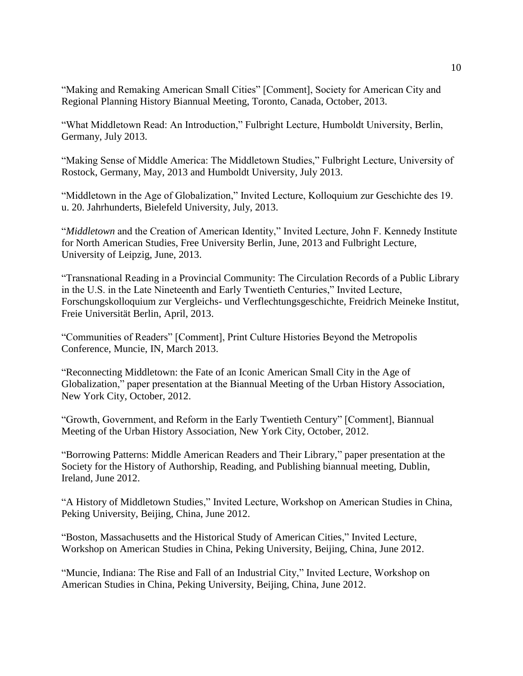"Making and Remaking American Small Cities" [Comment], Society for American City and Regional Planning History Biannual Meeting, Toronto, Canada, October, 2013.

"What Middletown Read: An Introduction," Fulbright Lecture, Humboldt University, Berlin, Germany, July 2013.

"Making Sense of Middle America: The Middletown Studies," Fulbright Lecture, University of Rostock, Germany, May, 2013 and Humboldt University, July 2013.

"Middletown in the Age of Globalization," Invited Lecture, Kolloquium zur Geschichte des 19. u. 20. Jahrhunderts, Bielefeld University, July, 2013.

"*Middletown* and the Creation of American Identity," Invited Lecture, John F. Kennedy Institute for North American Studies, Free University Berlin, June, 2013 and Fulbright Lecture, University of Leipzig, June, 2013.

"Transnational Reading in a Provincial Community: The Circulation Records of a Public Library in the U.S. in the Late Nineteenth and Early Twentieth Centuries," Invited Lecture, Forschungskolloquium zur Vergleichs- und Verflechtungsgeschichte, Freidrich Meineke Institut, Freie Universität Berlin, April, 2013.

"Communities of Readers" [Comment], Print Culture Histories Beyond the Metropolis Conference, Muncie, IN, March 2013.

"Reconnecting Middletown: the Fate of an Iconic American Small City in the Age of Globalization," paper presentation at the Biannual Meeting of the Urban History Association, New York City, October, 2012.

"Growth, Government, and Reform in the Early Twentieth Century" [Comment], Biannual Meeting of the Urban History Association, New York City, October, 2012.

"Borrowing Patterns: Middle American Readers and Their Library," paper presentation at the Society for the History of Authorship, Reading, and Publishing biannual meeting, Dublin, Ireland, June 2012.

"A History of Middletown Studies," Invited Lecture, Workshop on American Studies in China, Peking University, Beijing, China, June 2012.

"Boston, Massachusetts and the Historical Study of American Cities," Invited Lecture, Workshop on American Studies in China, Peking University, Beijing, China, June 2012.

"Muncie, Indiana: The Rise and Fall of an Industrial City," Invited Lecture, Workshop on American Studies in China, Peking University, Beijing, China, June 2012.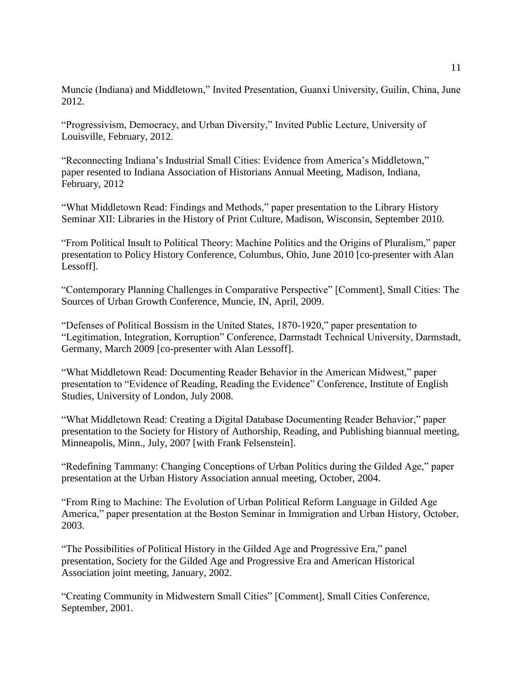Muncie (Indiana) and Middletown," Invited Presentation, Guanxi University, Guilin, China, June 2012.

"Progressivism, Democracy, and Urban Diversity," Invited Public Lecture, University of Louisville, February, 2012.

"Reconnecting Indiana's Industrial Small Cities: Evidence from America's Middletown," paper resented to Indiana Association of Historians Annual Meeting, Madison, Indiana, February, 2012

"What Middletown Read: Findings and Methods," paper presentation to the Library History Seminar XII: Libraries in the History of Print Culture, Madison, Wisconsin, September 2010.

"From Political Insult to Political Theory: Machine Politics and the Origins of Pluralism," paper presentation to Policy History Conference, Columbus, Ohio, June 2010 [co-presenter with Alan Lessoff].

"Contemporary Planning Challenges in Comparative Perspective" [Comment], Small Cities: The Sources of Urban Growth Conference, Muncie, IN, April, 2009.

"Defenses of Political Bossism in the United States, 1870-1920," paper presentation to "Legitimation, Integration, Korruption" Conference, Darmstadt Technical University, Darmstadt, Germany, March 2009 [co-presenter with Alan Lessoff].

"What Middletown Read: Documenting Reader Behavior in the American Midwest," paper presentation to "Evidence of Reading, Reading the Evidence" Conference, Institute of English Studies, University of London, July 2008.

"What Middletown Read: Creating a Digital Database Documenting Reader Behavior," paper presentation to the Society for History of Authorship, Reading, and Publishing biannual meeting, Minneapolis, Minn., July, 2007 [with Frank Felsenstein].

"Redefining Tammany: Changing Conceptions of Urban Politics during the Gilded Age," paper presentation at the Urban History Association annual meeting, October, 2004.

"From Ring to Machine: The Evolution of Urban Political Reform Language in Gilded Age America," paper presentation at the Boston Seminar in Immigration and Urban History, October, 2003.

"The Possibilities of Political History in the Gilded Age and Progressive Era," panel presentation, Society for the Gilded Age and Progressive Era and American Historical Association joint meeting, January, 2002.

"Creating Community in Midwestern Small Cities" [Comment], Small Cities Conference, September, 2001.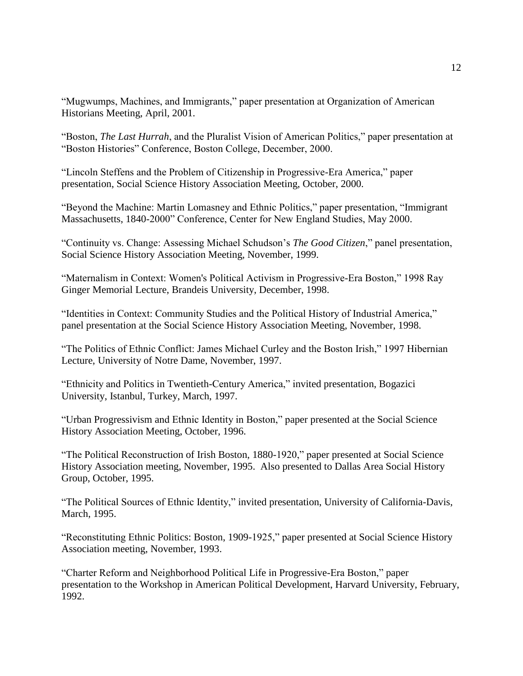"Mugwumps, Machines, and Immigrants," paper presentation at Organization of American Historians Meeting, April, 2001.

"Boston, *The Last Hurrah*, and the Pluralist Vision of American Politics," paper presentation at "Boston Histories" Conference, Boston College, December, 2000.

"Lincoln Steffens and the Problem of Citizenship in Progressive-Era America," paper presentation, Social Science History Association Meeting, October, 2000.

"Beyond the Machine: Martin Lomasney and Ethnic Politics," paper presentation, "Immigrant Massachusetts, 1840-2000" Conference, Center for New England Studies, May 2000.

"Continuity vs. Change: Assessing Michael Schudson's *The Good Citizen*," panel presentation, Social Science History Association Meeting, November, 1999.

"Maternalism in Context: Women's Political Activism in Progressive-Era Boston," 1998 Ray Ginger Memorial Lecture, Brandeis University, December, 1998.

"Identities in Context: Community Studies and the Political History of Industrial America," panel presentation at the Social Science History Association Meeting, November, 1998.

"The Politics of Ethnic Conflict: James Michael Curley and the Boston Irish," 1997 Hibernian Lecture, University of Notre Dame, November, 1997.

"Ethnicity and Politics in Twentieth-Century America," invited presentation, Bogazici University, Istanbul, Turkey, March, 1997.

"Urban Progressivism and Ethnic Identity in Boston," paper presented at the Social Science History Association Meeting, October, 1996.

"The Political Reconstruction of Irish Boston, 1880-1920," paper presented at Social Science History Association meeting, November, 1995. Also presented to Dallas Area Social History Group, October, 1995.

"The Political Sources of Ethnic Identity," invited presentation, University of California-Davis, March, 1995.

"Reconstituting Ethnic Politics: Boston, 1909-1925," paper presented at Social Science History Association meeting, November, 1993.

"Charter Reform and Neighborhood Political Life in Progressive-Era Boston," paper presentation to the Workshop in American Political Development, Harvard University, February, 1992.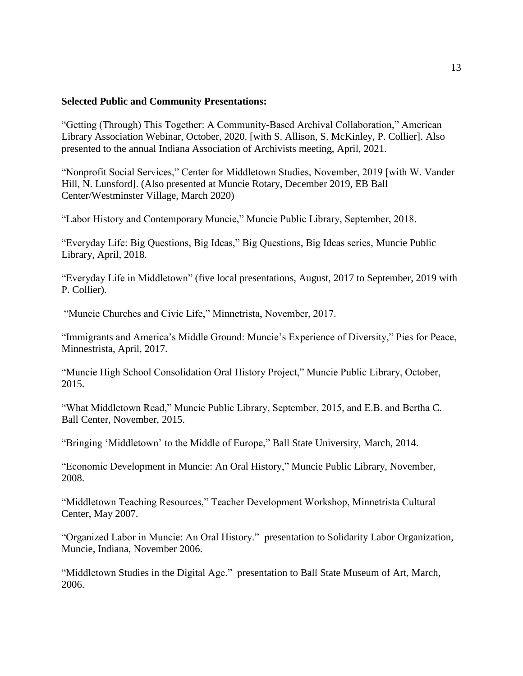#### **Selected Public and Community Presentations:**

"Getting (Through) This Together: A Community-Based Archival Collaboration," American Library Association Webinar, October, 2020. [with S. Allison, S. McKinley, P. Collier]. Also presented to the annual Indiana Association of Archivists meeting, April, 2021.

"Nonprofit Social Services," Center for Middletown Studies, November, 2019 [with W. Vander Hill, N. Lunsford]. (Also presented at Muncie Rotary, December 2019, EB Ball Center/Westminster Village, March 2020)

"Labor History and Contemporary Muncie," Muncie Public Library, September, 2018.

"Everyday Life: Big Questions, Big Ideas," Big Questions, Big Ideas series, Muncie Public Library, April, 2018.

"Everyday Life in Middletown" (five local presentations, August, 2017 to September, 2019 with P. Collier).

"Muncie Churches and Civic Life," Minnetrista, November, 2017.

"Immigrants and America's Middle Ground: Muncie's Experience of Diversity," Pies for Peace, Minnestrista, April, 2017.

"Muncie High School Consolidation Oral History Project," Muncie Public Library, October, 2015.

"What Middletown Read," Muncie Public Library, September, 2015, and E.B. and Bertha C. Ball Center, November, 2015.

"Bringing 'Middletown' to the Middle of Europe," Ball State University, March, 2014.

"Economic Development in Muncie: An Oral History," Muncie Public Library, November, 2008.

"Middletown Teaching Resources," Teacher Development Workshop, Minnetrista Cultural Center, May 2007.

"Organized Labor in Muncie: An Oral History." presentation to Solidarity Labor Organization, Muncie, Indiana, November 2006.

"Middletown Studies in the Digital Age." presentation to Ball State Museum of Art, March, 2006.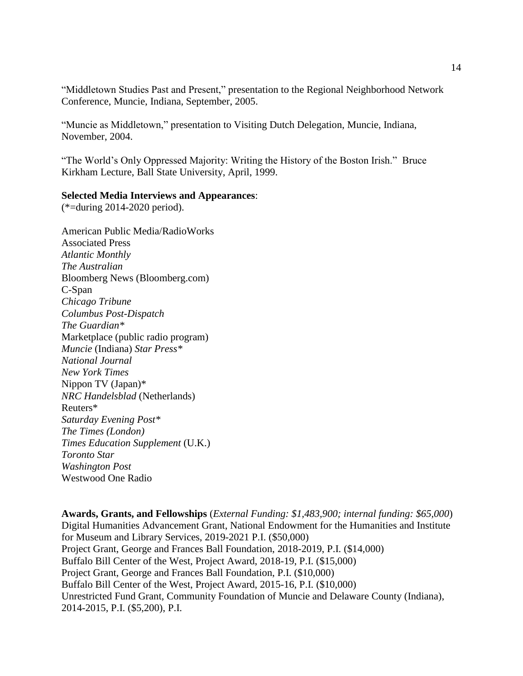"Middletown Studies Past and Present," presentation to the Regional Neighborhood Network Conference, Muncie, Indiana, September, 2005.

"Muncie as Middletown," presentation to Visiting Dutch Delegation, Muncie, Indiana, November, 2004.

"The World's Only Oppressed Majority: Writing the History of the Boston Irish." Bruce Kirkham Lecture, Ball State University, April, 1999.

#### **Selected Media Interviews and Appearances**:

(\*=during 2014-2020 period).

American Public Media/RadioWorks Associated Press *Atlantic Monthly The Australian* Bloomberg News (Bloomberg.com) C-Span *Chicago Tribune Columbus Post-Dispatch The Guardian\** Marketplace (public radio program) *Muncie* (Indiana) *Star Press\* National Journal New York Times* Nippon TV (Japan)\* *NRC Handelsblad* (Netherlands) Reuters\* *Saturday Evening Post\* The Times (London) Times Education Supplement* (U.K.) *Toronto Star Washington Post* Westwood One Radio

**Awards, Grants, and Fellowships** (*External Funding: \$1,483,900; internal funding: \$65,000*) Digital Humanities Advancement Grant, National Endowment for the Humanities and Institute for Museum and Library Services, 2019-2021 P.I. (\$50,000) Project Grant, George and Frances Ball Foundation, 2018-2019, P.I. (\$14,000) Buffalo Bill Center of the West, Project Award, 2018-19, P.I. (\$15,000) Project Grant, George and Frances Ball Foundation, P.I. (\$10,000) Buffalo Bill Center of the West, Project Award, 2015-16, P.I. (\$10,000) Unrestricted Fund Grant, Community Foundation of Muncie and Delaware County (Indiana), 2014-2015, P.I. (\$5,200), P.I.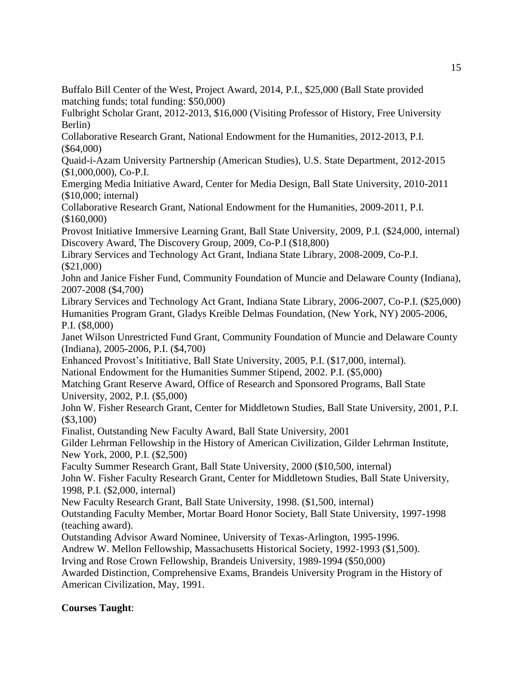Buffalo Bill Center of the West, Project Award, 2014, P.I., \$25,000 (Ball State provided matching funds; total funding: \$50,000)

Fulbright Scholar Grant, 2012-2013, \$16,000 (Visiting Professor of History, Free University Berlin)

Collaborative Research Grant, National Endowment for the Humanities, 2012-2013, P.I. (\$64,000)

Quaid-i-Azam University Partnership (American Studies), U.S. State Department, 2012-2015 (\$1,000,000), Co-P.I.

Emerging Media Initiative Award, Center for Media Design, Ball State University, 2010-2011 (\$10,000; internal)

Collaborative Research Grant, National Endowment for the Humanities, 2009-2011, P.I. (\$160,000)

Provost Initiative Immersive Learning Grant, Ball State University, 2009, P.I. (\$24,000, internal) Discovery Award, The Discovery Group, 2009, Co-P.I (\$18,800)

Library Services and Technology Act Grant, Indiana State Library, 2008-2009, Co-P.I. (\$21,000)

John and Janice Fisher Fund, Community Foundation of Muncie and Delaware County (Indiana), 2007-2008 (\$4,700)

Library Services and Technology Act Grant, Indiana State Library, 2006-2007, Co-P.I. (\$25,000) Humanities Program Grant, Gladys Kreible Delmas Foundation, (New York, NY) 2005-2006, P.I. (\$8,000)

Janet Wilson Unrestricted Fund Grant, Community Foundation of Muncie and Delaware County (Indiana), 2005-2006, P.I. (\$4,700)

Enhanced Provost's Inititiative, Ball State University, 2005, P.I. (\$17,000, internal).

National Endowment for the Humanities Summer Stipend, 2002. P.I. (\$5,000)

Matching Grant Reserve Award, Office of Research and Sponsored Programs, Ball State University, 2002, P.I. (\$5,000)

John W. Fisher Research Grant, Center for Middletown Studies, Ball State University, 2001, P.I. (\$3,100)

Finalist, Outstanding New Faculty Award, Ball State University, 2001

Gilder Lehrman Fellowship in the History of American Civilization, Gilder Lehrman Institute, New York, 2000, P.I. (\$2,500)

Faculty Summer Research Grant, Ball State University, 2000 (\$10,500, internal)

John W. Fisher Faculty Research Grant, Center for Middletown Studies, Ball State University, 1998, P.I. (\$2,000, internal)

New Faculty Research Grant, Ball State University, 1998. (\$1,500, internal)

Outstanding Faculty Member, Mortar Board Honor Society, Ball State University, 1997-1998 (teaching award).

Outstanding Advisor Award Nominee, University of Texas-Arlington, 1995-1996.

Andrew W. Mellon Fellowship, Massachusetts Historical Society, 1992-1993 (\$1,500).

Irving and Rose Crown Fellowship, Brandeis University, 1989-1994 (\$50,000)

Awarded Distinction, Comprehensive Exams, Brandeis University Program in the History of American Civilization, May, 1991.

# **Courses Taught**: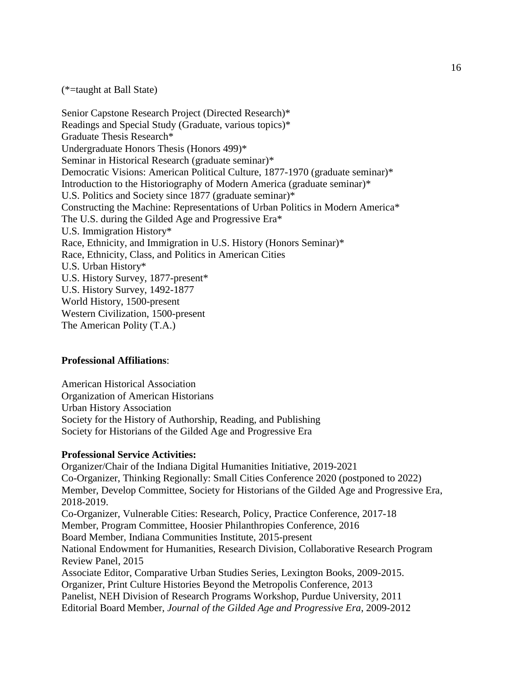(\*=taught at Ball State)

Senior Capstone Research Project (Directed Research)\* Readings and Special Study (Graduate, various topics)\* Graduate Thesis Research\* Undergraduate Honors Thesis (Honors 499)\* Seminar in Historical Research (graduate seminar)\* Democratic Visions: American Political Culture, 1877-1970 (graduate seminar)\* Introduction to the Historiography of Modern America (graduate seminar)\* U.S. Politics and Society since 1877 (graduate seminar)\* Constructing the Machine: Representations of Urban Politics in Modern America\* The U.S. during the Gilded Age and Progressive Era\* U.S. Immigration History\* Race, Ethnicity, and Immigration in U.S. History (Honors Seminar)\* Race, Ethnicity, Class, and Politics in American Cities U.S. Urban History\* U.S. History Survey, 1877-present\* U.S. History Survey, 1492-1877 World History, 1500-present Western Civilization, 1500-present The American Polity (T.A.)

#### **Professional Affiliations**:

American Historical Association Organization of American Historians Urban History Association Society for the History of Authorship, Reading, and Publishing Society for Historians of the Gilded Age and Progressive Era

#### **Professional Service Activities:**

Organizer/Chair of the Indiana Digital Humanities Initiative, 2019-2021 Co-Organizer, Thinking Regionally: Small Cities Conference 2020 (postponed to 2022) Member, Develop Committee, Society for Historians of the Gilded Age and Progressive Era, 2018-2019. Co-Organizer, Vulnerable Cities: Research, Policy, Practice Conference, 2017-18 Member, Program Committee, Hoosier Philanthropies Conference, 2016 Board Member, Indiana Communities Institute, 2015-present National Endowment for Humanities, Research Division, Collaborative Research Program Review Panel, 2015 Associate Editor, Comparative Urban Studies Series, Lexington Books, 2009-2015. Organizer, Print Culture Histories Beyond the Metropolis Conference, 2013 Panelist, NEH Division of Research Programs Workshop, Purdue University, 2011 Editorial Board Member, *Journal of the Gilded Age and Progressive Era*, 2009-2012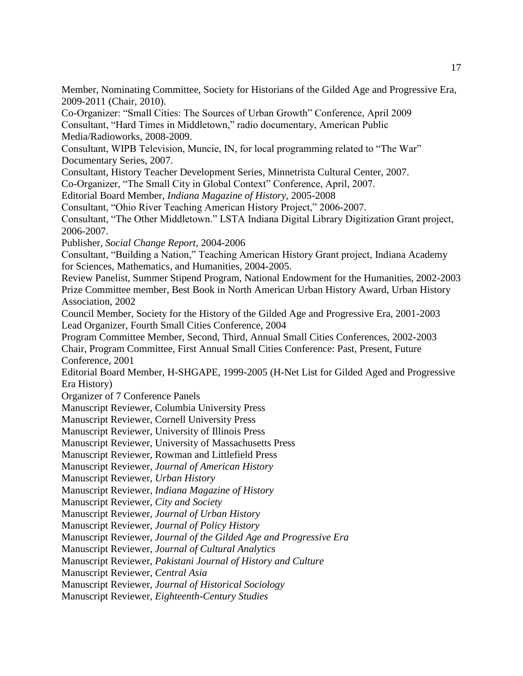Member, Nominating Committee, Society for Historians of the Gilded Age and Progressive Era, 2009-2011 (Chair, 2010).

Co-Organizer: "Small Cities: The Sources of Urban Growth" Conference, April 2009 Consultant, "Hard Times in Middletown," radio documentary, American Public Media/Radioworks, 2008-2009.

Consultant, WIPB Television, Muncie, IN, for local programming related to "The War" Documentary Series, 2007.

Consultant, History Teacher Development Series, Minnetrista Cultural Center, 2007.

Co-Organizer, "The Small City in Global Context" Conference, April, 2007.

Editorial Board Member, *Indiana Magazine of History*, 2005-2008

Consultant, "Ohio River Teaching American History Project," 2006-2007.

Consultant, "The Other Middletown." LSTA Indiana Digital Library Digitization Grant project, 2006-2007.

Publisher, *Social Change Report*, 2004-2006

Consultant, "Building a Nation," Teaching American History Grant project, Indiana Academy for Sciences, Mathematics, and Humanities, 2004-2005.

Review Panelist, Summer Stipend Program, National Endowment for the Humanities, 2002-2003 Prize Committee member, Best Book in North American Urban History Award, Urban History Association, 2002

Council Member, Society for the History of the Gilded Age and Progressive Era, 2001-2003 Lead Organizer, Fourth Small Cities Conference, 2004

Program Committee Member, Second, Third, Annual Small Cities Conferences, 2002-2003

Chair, Program Committee, First Annual Small Cities Conference: Past, Present, Future Conference, 2001

Editorial Board Member, H-SHGAPE, 1999-2005 (H-Net List for Gilded Aged and Progressive Era History)

Organizer of 7 Conference Panels

Manuscript Reviewer, Columbia University Press

Manuscript Reviewer, Cornell University Press

Manuscript Reviewer, University of Illinois Press

Manuscript Reviewer, University of Massachusetts Press

Manuscript Reviewer, Rowman and Littlefield Press

Manuscript Reviewer, *Journal of American History*

Manuscript Reviewer, *Urban History*

Manuscript Reviewer, *Indiana Magazine of History*

Manuscript Reviewer, *City and Society*

Manuscript Reviewer, *Journal of Urban History*

Manuscript Reviewer, *Journal of Policy History*

Manuscript Reviewer, *Journal of the Gilded Age and Progressive Era*

Manuscript Reviewer, *Journal of Cultural Analytics*

Manuscript Reviewer, *Pakistani Journal of History and Culture*

Manuscript Reviewer, *Central Asia*

Manuscript Reviewer, *Journal of Historical Sociology*

Manuscript Reviewer, *Eighteenth-Century Studies*